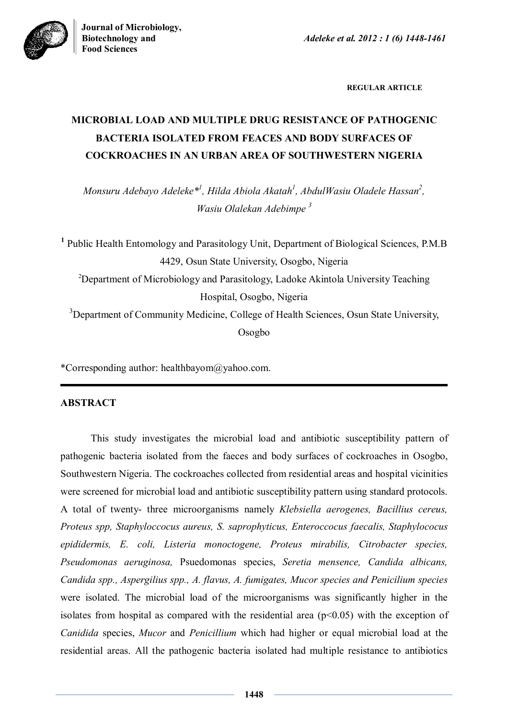**Biotechnology and** *Adeleke et al. 2012 : 1 (6) 1448-1461*



 **REGULAR ARTICLE**

# **MICROBIAL LOAD AND MULTIPLE DRUG RESISTANCE OF PATHOGENIC BACTERIA ISOLATED FROM FEACES AND BODY SURFACES OF COCKROACHES IN AN URBAN AREA OF SOUTHWESTERN NIGERIA**

*Monsuru Adebayo Adeleke\*<sup>1</sup> , Hilda Abiola Akatah<sup>1</sup> , AbdulWasiu Oladele Hassan<sup>2</sup> , Wasiu Olalekan Adebimpe <sup>3</sup>*

<sup>1</sup> Public Health Entomology and Parasitology Unit, Department of Biological Sciences, P.M.B 4429, Osun State University, Osogbo, Nigeria <sup>2</sup>Department of Microbiology and Parasitology, Ladoke Akintola University Teaching Hospital, Osogbo, Nigeria <sup>3</sup>Department of Community Medicine, College of Health Sciences, Osun State University, Osogbo

\*Corresponding author: healthbayom@yahoo.com.

# **ABSTRACT**

This study investigates the microbial load and antibiotic susceptibility pattern of pathogenic bacteria isolated from the faeces and body surfaces of cockroaches in Osogbo, Southwestern Nigeria. The cockroaches collected from residential areas and hospital vicinities were screened for microbial load and antibiotic susceptibility pattern using standard protocols. A total of twenty- three microorganisms namely *Klebsiella aerogenes, Bacillius cereus, Proteus spp, Staphyloccocus aureus, S. saprophyticus, Enteroccocus faecalis, Staphylococus epididermis, E. coli, Listeria monoctogene, Proteus mirabilis, Citrobacter species, Pseudomonas aeruginosa,* Psuedomonas species, *Seretia mensence, Candida albicans, Candida spp., Aspergilius spp., A. flavus, A. fumigates, Mucor species and Penicilium species* were isolated. The microbial load of the microorganisms was significantly higher in the isolates from hospital as compared with the residential area  $(p<0.05)$  with the exception of *Canidida* species, *Mucor* and *Penicillium* which had higher or equal microbial load at the residential areas. All the pathogenic bacteria isolated had multiple resistance to antibiotics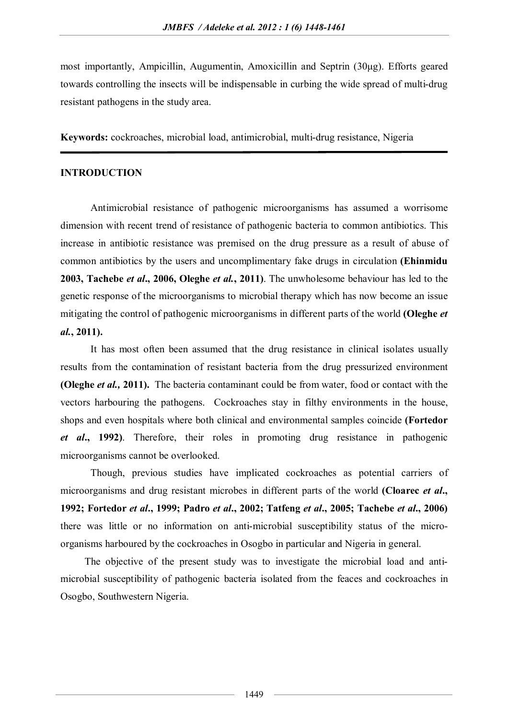most importantly, Ampicillin, Augumentin, Amoxicillin and Septrin (30μg). Efforts geared towards controlling the insects will be indispensable in curbing the wide spread of multi-drug resistant pathogens in the study area.

**Keywords:** cockroaches, microbial load, antimicrobial, multi-drug resistance, Nigeria

## **INTRODUCTION**

Antimicrobial resistance of pathogenic microorganisms has assumed a worrisome dimension with recent trend of resistance of pathogenic bacteria to common antibiotics. This increase in antibiotic resistance was premised on the drug pressure as a result of abuse of common antibiotics by the users and uncomplimentary fake drugs in circulation **(Ehinmidu 2003, Tachebe** *et al***., 2006, Oleghe** *et al.***, 2011)**. The unwholesome behaviour has led to the genetic response of the microorganisms to microbial therapy which has now become an issue mitigating the control of pathogenic microorganisms in different parts of the world **(Oleghe** *et al.***, 2011).**

It has most often been assumed that the drug resistance in clinical isolates usually results from the contamination of resistant bacteria from the drug pressurized environment **(Oleghe** *et al.,* **2011).** The bacteria contaminant could be from water, food or contact with the vectors harbouring the pathogens. Cockroaches stay in filthy environments in the house, shops and even hospitals where both clinical and environmental samples coincide **(Fortedor**  *et al***., 1992)**. Therefore, their roles in promoting drug resistance in pathogenic microorganisms cannot be overlooked.

Though, previous studies have implicated cockroaches as potential carriers of microorganisms and drug resistant microbes in different parts of the world **(Cloarec** *et al***., 1992; Fortedor** *et al***., 1999; Padro** *et al***., 2002; Tatfeng** *et al***., 2005; Tachebe** *et al***., 2006)**  there was little or no information on anti-microbial susceptibility status of the microorganisms harboured by the cockroaches in Osogbo in particular and Nigeria in general.

The objective of the present study was to investigate the microbial load and antimicrobial susceptibility of pathogenic bacteria isolated from the feaces and cockroaches in Osogbo, Southwestern Nigeria.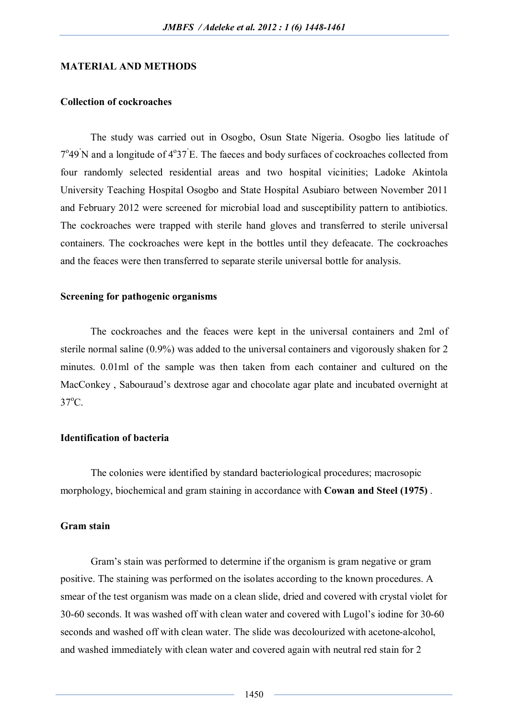## **MATERIAL AND METHODS**

## **Collection of cockroaches**

The study was carried out in Osogbo, Osun State Nigeria. Osogbo lies latitude of  $7^{\circ}49'$ N and a longitude of  $4^{\circ}37'E$ . The faeces and body surfaces of cockroaches collected from four randomly selected residential areas and two hospital vicinities; Ladoke Akintola University Teaching Hospital Osogbo and State Hospital Asubiaro between November 2011 and February 2012 were screened for microbial load and susceptibility pattern to antibiotics. The cockroaches were trapped with sterile hand gloves and transferred to sterile universal containers. The cockroaches were kept in the bottles until they defeacate. The cockroaches and the feaces were then transferred to separate sterile universal bottle for analysis.

#### **Screening for pathogenic organisms**

The cockroaches and the feaces were kept in the universal containers and 2ml of sterile normal saline (0.9%) was added to the universal containers and vigorously shaken for 2 minutes. 0.01ml of the sample was then taken from each container and cultured on the MacConkey , Sabouraud's dextrose agar and chocolate agar plate and incubated overnight at  $37^{\circ}$ C.

## **Identification of bacteria**

The colonies were identified by standard bacteriological procedures; macrosopic morphology, biochemical and gram staining in accordance with **Cowan and Steel (1975)** .

#### **Gram stain**

Gram's stain was performed to determine if the organism is gram negative or gram positive. The staining was performed on the isolates according to the known procedures. A smear of the test organism was made on a clean slide, dried and covered with crystal violet for 30-60 seconds. It was washed off with clean water and covered with Lugol's iodine for 30-60 seconds and washed off with clean water. The slide was decolourized with acetone-alcohol, and washed immediately with clean water and covered again with neutral red stain for 2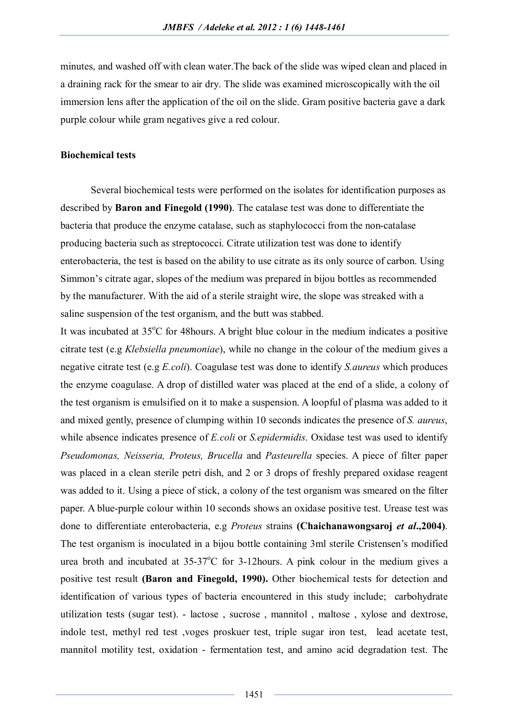minutes, and washed off with clean water.The back of the slide was wiped clean and placed in a draining rack for the smear to air dry. The slide was examined microscopically with the oil immersion lens after the application of the oil on the slide. Gram positive bacteria gave a dark purple colour while gram negatives give a red colour.

#### **Biochemical tests**

Several biochemical tests were performed on the isolates for identification purposes as described by **Baron and Finegold (1990)**. The catalase test was done to differentiate the bacteria that produce the enzyme catalase, such as staphylococci from the non-catalase producing bacteria such as streptococci. Citrate utilization test was done to identify enterobacteria, the test is based on the ability to use citrate as its only source of carbon. Using Simmon's citrate agar, slopes of the medium was prepared in bijou bottles as recommended by the manufacturer. With the aid of a sterile straight wire, the slope was streaked with a saline suspension of the test organism, and the butt was stabbed.

It was incubated at  $35^{\circ}$ C for 48 hours. A bright blue colour in the medium indicates a positive citrate test (e.g *Klebsiella pneumoniae*), while no change in the colour of the medium gives a negative citrate test (e.g *E.coli*). Coagulase test was done to identify *S.aureus* which produces the enzyme coagulase. A drop of distilled water was placed at the end of a slide, a colony of the test organism is emulsified on it to make a suspension. A loopful of plasma was added to it and mixed gently, presence of clumping within 10 seconds indicates the presence of *S. aureus*, while absence indicates presence of *E.coli* or *S.epidermidis*. Oxidase test was used to identify *Pseudomonas, Neisseria, Proteus, Brucella* and *Pasteurella* species. A piece of filter paper was placed in a clean sterile petri dish, and 2 or 3 drops of freshly prepared oxidase reagent was added to it. Using a piece of stick, a colony of the test organism was smeared on the filter paper. A blue-purple colour within 10 seconds shows an oxidase positive test. Urease test was done to differentiate enterobacteria, e.g *Proteus* strains **(Chaichanawongsaroj** *et al***.,2004)**. The test organism is inoculated in a bijou bottle containing 3ml sterile Cristensen's modified urea broth and incubated at  $35-37^{\circ}$ C for 3-12hours. A pink colour in the medium gives a positive test result **(Baron and Finegold, 1990).** Other biochemical tests for detection and identification of various types of bacteria encountered in this study include; carbohydrate utilization tests (sugar test). - lactose , sucrose , mannitol , maltose , xylose and dextrose, indole test, methyl red test ,voges proskuer test, triple sugar iron test, lead acetate test, mannitol motility test, oxidation - fermentation test, and amino acid degradation test. The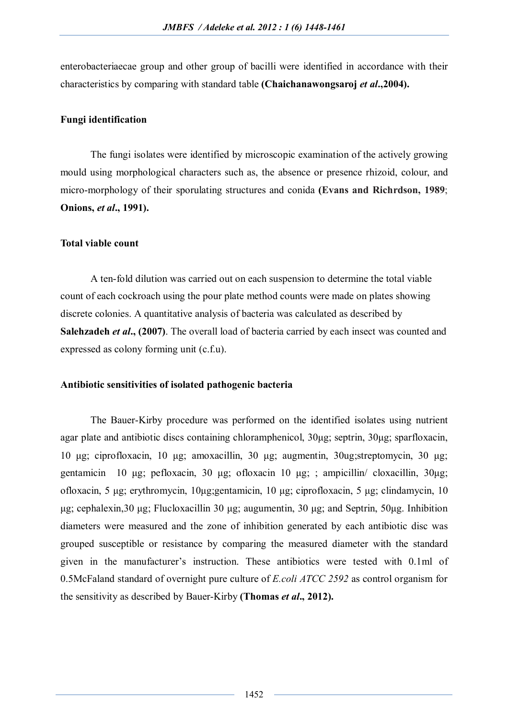enterobacteriaecae group and other group of bacilli were identified in accordance with their characteristics by comparing with standard table **(Chaichanawongsaroj** *et al***.,2004).**

## **Fungi identification**

The fungi isolates were identified by microscopic examination of the actively growing mould using morphological characters such as, the absence or presence rhizoid, colour, and micro-morphology of their sporulating structures and conida **(Evans and Richrdson, 1989**; **Onions,** *et al***., 1991).**

## **Total viable count**

A ten-fold dilution was carried out on each suspension to determine the total viable count of each cockroach using the pour plate method counts were made on plates showing discrete colonies. A quantitative analysis of bacteria was calculated as described by **Salehzadeh** *et al***., (2007)**. The overall load of bacteria carried by each insect was counted and expressed as colony forming unit (c.f.u).

#### **Antibiotic sensitivities of isolated pathogenic bacteria**

The Bauer-Kirby procedure was performed on the identified isolates using nutrient agar plate and antibiotic discs containing chloramphenicol, 30μg; septrin, 30μg; sparfloxacin, 10 μg; ciprofloxacin, 10 μg; amoxacillin, 30 μg; augmentin, 30ug;streptomycin, 30 μg; gentamicin 10 μg; pefloxacin, 30 μg; ofloxacin 10 μg; ; ampicillin/ cloxacillin, 30μg; ofloxacin, 5 μg; erythromycin, 10μg;gentamicin, 10 μg; ciprofloxacin, 5 μg; clindamycin, 10 μg; cephalexin,30 μg; Flucloxacillin 30 μg; augumentin, 30 μg; and Septrin, 50μg. Inhibition diameters were measured and the zone of inhibition generated by each antibiotic disc was grouped susceptible or resistance by comparing the measured diameter with the standard given in the manufacturer's instruction. These antibiotics were tested with 0.1ml of 0.5McFaland standard of overnight pure culture of *E.coli ATCC 2592* as control organism for the sensitivity as described by Bauer-Kirby **(Thomas** *et al***., 2012).**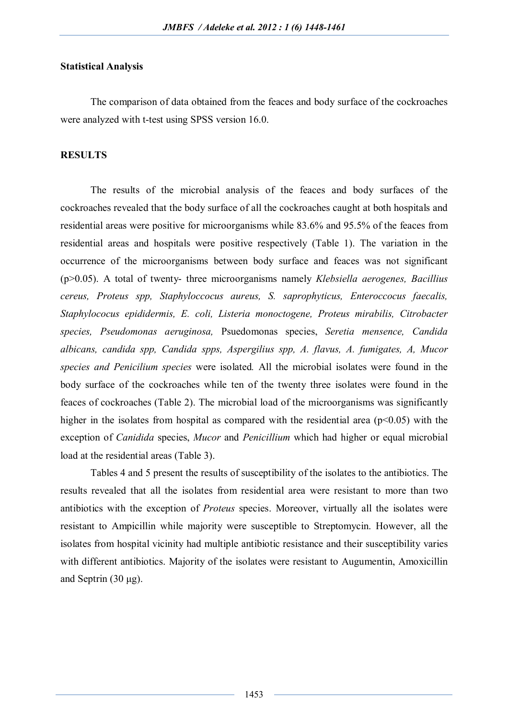#### **Statistical Analysis**

The comparison of data obtained from the feaces and body surface of the cockroaches were analyzed with t-test using SPSS version 16.0.

#### **RESULTS**

The results of the microbial analysis of the feaces and body surfaces of the cockroaches revealed that the body surface of all the cockroaches caught at both hospitals and residential areas were positive for microorganisms while 83.6% and 95.5% of the feaces from residential areas and hospitals were positive respectively (Table 1). The variation in the occurrence of the microorganisms between body surface and feaces was not significant (p>0.05). A total of twenty- three microorganisms namely *Klebsiella aerogenes, Bacillius cereus, Proteus spp, Staphyloccocus aureus, S. saprophyticus, Enteroccocus faecalis, Staphylococus epididermis, E. coli, Listeria monoctogene, Proteus mirabilis, Citrobacter species, Pseudomonas aeruginosa,* Psuedomonas species, *Seretia mensence, Candida albicans, candida spp, Candida spps, Aspergilius spp, A. flavus, A. fumigates, A, Mucor species and Penicilium species* were isolated*.* All the microbial isolates were found in the body surface of the cockroaches while ten of the twenty three isolates were found in the feaces of cockroaches (Table 2). The microbial load of the microorganisms was significantly higher in the isolates from hospital as compared with the residential area  $(p<0.05)$  with the exception of *Canidida* species, *Mucor* and *Penicillium* which had higher or equal microbial load at the residential areas (Table 3).

Tables 4 and 5 present the results of susceptibility of the isolates to the antibiotics. The results revealed that all the isolates from residential area were resistant to more than two antibiotics with the exception of *Proteus* species. Moreover, virtually all the isolates were resistant to Ampicillin while majority were susceptible to Streptomycin. However, all the isolates from hospital vicinity had multiple antibiotic resistance and their susceptibility varies with different antibiotics. Majority of the isolates were resistant to Augumentin, Amoxicillin and Septrin (30 μg).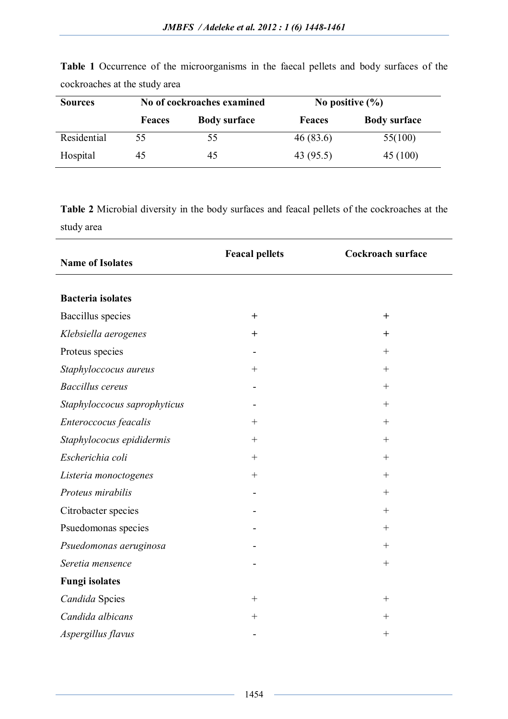| <b>Sources</b> | No of cockroaches examined |                     | No positive $(\% )$ |                     |
|----------------|----------------------------|---------------------|---------------------|---------------------|
|                | <b>Feaces</b>              | <b>Body surface</b> | <b>Feaces</b>       | <b>Body surface</b> |
| Residential    | 55                         | 55                  | 46(83.6)            | 55(100)             |
| Hospital       | 45                         | 45                  | 43 (95.5)           | 45 (100)            |

**Table 1** Occurrence of the microorganisms in the faecal pellets and body surfaces of the cockroaches at the study area

**Table 2** Microbial diversity in the body surfaces and feacal pellets of the cockroaches at the study area

| <b>Name of Isolates</b>      | <b>Feacal pellets</b> | <b>Cockroach surface</b> |
|------------------------------|-----------------------|--------------------------|
|                              |                       |                          |
| <b>Bacteria</b> isolates     |                       |                          |
| Baccillus species            | $^{+}$                | $+$                      |
| Klebsiella aerogenes         | $^{+}$                | $\pm$                    |
| Proteus species              |                       | $^{+}$                   |
| Staphyloccocus aureus        | $+$                   | $+$                      |
| <b>Baccillus</b> cereus      |                       | $^{+}$                   |
| Staphyloccocus saprophyticus |                       | $^{+}$                   |
| Enteroccocus feacalis        | $^{+}$                | $^{+}$                   |
| Staphylococus epididermis    | $^{+}$                | $^{+}$                   |
| Escherichia coli             | $^{+}$                | $^{+}$                   |
| Listeria monoctogenes        | $+$                   |                          |
| Proteus mirabilis            |                       | $^{+}$                   |
| Citrobacter species          |                       | $\boldsymbol{+}$         |
| Psuedomonas species          |                       | $^{+}$                   |
| Psuedomonas aeruginosa       |                       | $^{+}$                   |
| Seretia mensence             |                       | $^{+}$                   |
| <b>Fungi isolates</b>        |                       |                          |
| Candida Spcies               |                       | $\boldsymbol{+}$         |
| Candida albicans             | $^{+}$                | $^{+}$                   |
| Aspergillus flavus           |                       | $^{+}$                   |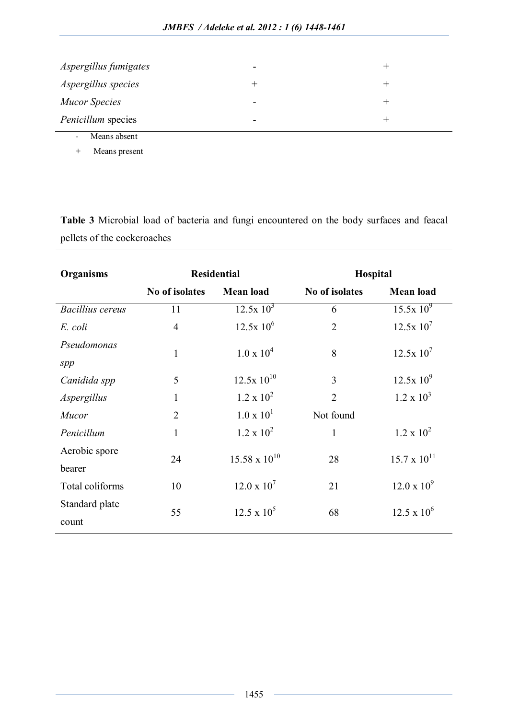| ۰                        | $^{\mathrm{+}}$ |
|--------------------------|-----------------|
|                          | $^{\mathrm{+}}$ |
| $\overline{\phantom{0}}$ | $^{\mathrm{+}}$ |
| -                        | ┿               |
|                          |                 |

- Means absent

+ Means present

**Table 3** Microbial load of bacteria and fungi encountered on the body surfaces and feacal pellets of the cockcroaches

| <b>Organisms</b>        | <b>Residential</b> |                        | Hospital       |                       |
|-------------------------|--------------------|------------------------|----------------|-----------------------|
|                         | No of isolates     | <b>Mean load</b>       | No of isolates | <b>Mean load</b>      |
| <b>Bacillius cereus</b> | 11                 | $12.5x 10^3$           | 6              | $15.5x10^{9}$         |
| E. coli                 | $\overline{4}$     | $12.5x\ 10^6$          | $\overline{2}$ | $12.5x\ 10^7$         |
| Pseudomonas<br>spp      | $\mathbf{1}$       | $1.0 \times 10^4$      | 8              | $12.5x\ 10^7$         |
| Canidida spp            | 5                  | $12.5x10^{10}$         | 3              | $12.5x10^{9}$         |
| Aspergillus             | $\mathbf{1}$       | $1.2 \times 10^{2}$    | $\overline{2}$ | $1.2 \times 10^3$     |
| Mucor                   | $\overline{2}$     | $1.0 \times 10^{1}$    | Not found      |                       |
| Penicillum              | $\mathbf{1}$       | $1.2 \times 10^2$      | $\mathbf{1}$   | $1.2 \times 10^{2}$   |
| Aerobic spore<br>bearer | 24                 | $15.58 \times 10^{10}$ | 28             | $15.7 \times 10^{11}$ |
| Total coliforms         | 10                 | $12.0 \times 10^7$     | 21             | $12.0 \times 10^{9}$  |
| Standard plate<br>count | 55                 | $12.5 \times 10^5$     | 68             | $12.5 \times 10^6$    |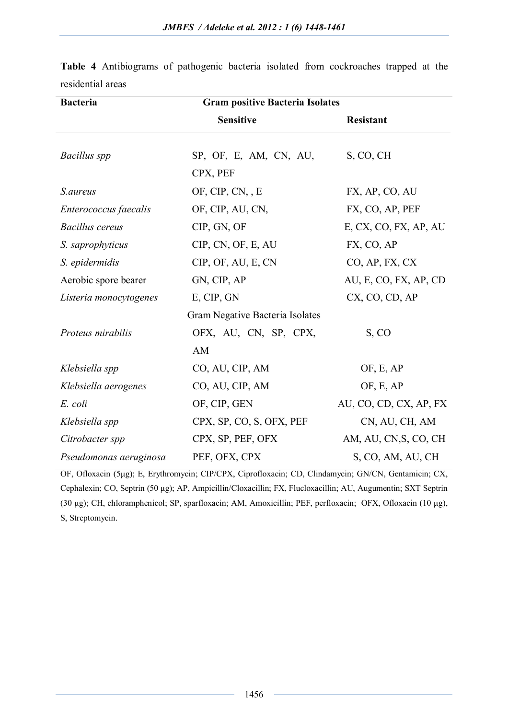| <b>Bacteria</b>        | <b>Gram positive Bacteria Isolates</b> |                        |
|------------------------|----------------------------------------|------------------------|
|                        | <b>Sensitive</b>                       | <b>Resistant</b>       |
|                        |                                        |                        |
| <b>Bacillus</b> spp    | SP, OF, E, AM, CN, AU,                 | S, CO, CH              |
|                        | CPX, PEF                               |                        |
| S.aureus               | OF, CIP, CN, , E                       | FX, AP, CO, AU         |
| Enterococcus faecalis  | OF, CIP, AU, CN,                       | FX, CO, AP, PEF        |
| <b>Bacillus</b> cereus | CIP, GN, OF                            | E, CX, CO, FX, AP, AU  |
| S. saprophyticus       | CIP, CN, OF, E, AU                     | FX, CO, AP             |
| S. epidermidis         | CIP, OF, AU, E, CN                     | CO, AP, FX, CX         |
| Aerobic spore bearer   | GN, CIP, AP                            | AU, E, CO, FX, AP, CD  |
| Listeria monocytogenes | E, CIP, GN                             | CX, CO, CD, AP         |
|                        | Gram Negative Bacteria Isolates        |                        |
| Proteus mirabilis      | OFX, AU, CN, SP, CPX,                  | S, CO                  |
|                        | AM                                     |                        |
| Klebsiella spp         | CO, AU, CIP, AM                        | OF, E, AP              |
| Klebsiella aerogenes   | CO, AU, CIP, AM                        | OF, E, AP              |
| E. coli                | OF, CIP, GEN                           | AU, CO, CD, CX, AP, FX |
| Klebsiella spp         | CPX, SP, CO, S, OFX, PEF               | CN, AU, CH, AM         |
| Citrobacter spp        | CPX, SP, PEF, OFX                      | AM, AU, CN, S, CO, CH  |
| Pseudomonas aeruginosa | PEF, OFX, CPX                          | S, CO, AM, AU, CH      |

**Table 4** Antibiograms of pathogenic bacteria isolated from cockroaches trapped at the residential areas

OF, Ofloxacin (5μg); E, Erythromycin; CIP/CPX, Ciprofloxacin; CD, Clindamycin; GN/CN, Gentamicin; CX, Cephalexin; CO, Septrin (50 μg); AP, Ampicillin/Cloxacillin; FX, Flucloxacillin; AU, Augumentin; SXT Septrin (30 μg); CH, chloramphenicol; SP, sparfloxacin; AM, Amoxicillin; PEF, perfloxacin; OFX, Ofloxacin (10 μg), S, Streptomycin.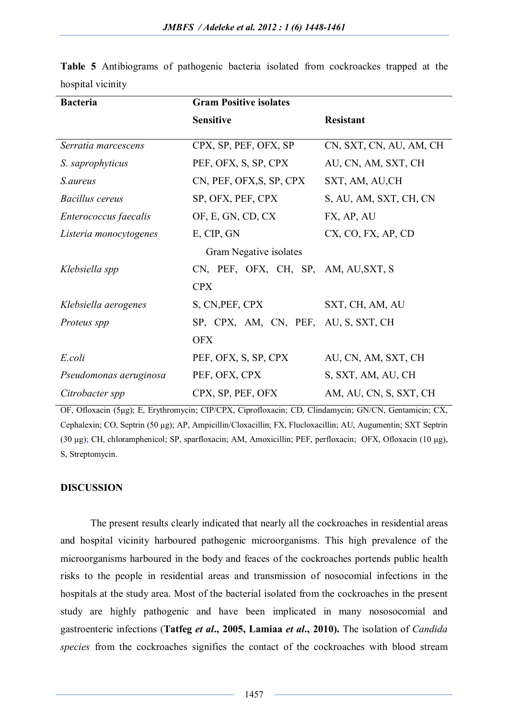| <b>Bacteria</b>        | <b>Gram Positive isolates</b>        |                         |  |
|------------------------|--------------------------------------|-------------------------|--|
|                        | <b>Sensitive</b>                     | <b>Resistant</b>        |  |
| Serratia marcescens    | CPX, SP, PEF, OFX, SP                | CN, SXT, CN, AU, AM, CH |  |
| S. saprophyticus       | PEF, OFX, S, SP, CPX                 | AU, CN, AM, SXT, CH     |  |
| <i>S.aureus</i>        | CN, PEF, OFX, S, SP, CPX             | SXT, AM, AU,CH          |  |
| <i>Bacillus cereus</i> | SP, OFX, PEF, CPX                    | S, AU, AM, SXT, CH, CN  |  |
| Enterococcus faecalis  | OF, E, GN, CD, CX                    | FX, AP, AU              |  |
| Listeria monocytogenes | E, CIP, GN                           | CX, CO, FX, AP, CD      |  |
|                        | Gram Negative isolates               |                         |  |
| Klebsiella spp         | CN, PEF, OFX, CH, SP, AM, AU, SXT, S |                         |  |
|                        | <b>CPX</b>                           |                         |  |
| Klebsiella aerogenes   | S, CN, PEF, CPX                      | SXT, CH, AM, AU         |  |
| Proteus spp            | SP, CPX, AM, CN, PEF, AU, S, SXT, CH |                         |  |
|                        | <b>OFX</b>                           |                         |  |
| E.coli                 | PEF, OFX, S, SP, CPX                 | AU, CN, AM, SXT, CH     |  |
| Pseudomonas aeruginosa | PEF, OFX, CPX                        | S, SXT, AM, AU, CH      |  |
| Citrobacter spp        | CPX, SP, PEF, OFX                    | AM, AU, CN, S, SXT, CH  |  |

**Table 5** Antibiograms of pathogenic bacteria isolated from cockroackes trapped at the hospital vicinity

OF, Ofloxacin (5μg); E, Erythromycin; CIP/CPX, Ciprofloxacin; CD, Clindamycin; GN/CN, Gentamicin; CX, Cephalexin; CO, Septrin (50 μg); AP, Ampicillin/Cloxacillin; FX, Flucloxacillin; AU, Augumentin; SXT Septrin (30 μg); CH, chloramphenicol; SP, sparfloxacin; AM, Amoxicillin; PEF, perfloxacin; OFX, Ofloxacin (10 μg), S, Streptomycin.

# **DISCUSSION**

The present results clearly indicated that nearly all the cockroaches in residential areas and hospital vicinity harboured pathogenic microorganisms. This high prevalence of the microorganisms harboured in the body and feaces of the cockroaches portends public health risks to the people in residential areas and transmission of nosocomial infections in the hospitals at the study area. Most of the bacterial isolated from the cockroaches in the present study are highly pathogenic and have been implicated in many nososocomial and gastroenteric infections (**Tatfeg** *et al***., 2005, Lamiaa** *et al***., 2010).** The isolation of *Candida species* from the cockroaches signifies the contact of the cockroaches with blood stream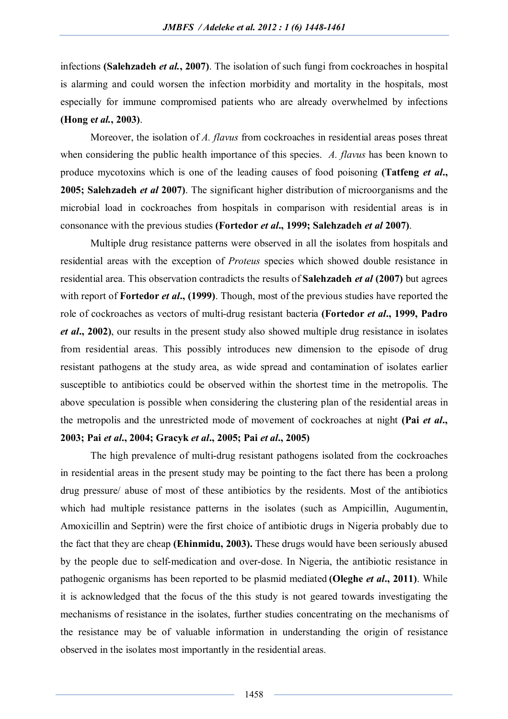infections **(Salehzadeh** *et al.***, 2007)**. The isolation of such fungi from cockroaches in hospital is alarming and could worsen the infection morbidity and mortality in the hospitals, most especially for immune compromised patients who are already overwhelmed by infections **(Hong e***t al.***, 2003)**.

Moreover, the isolation of *A. flavus* from cockroaches in residential areas poses threat when considering the public health importance of this species. *A. flavus* has been known to produce mycotoxins which is one of the leading causes of food poisoning **(Tatfeng** *et al***., 2005; Salehzadeh** *et al* **2007)**. The significant higher distribution of microorganisms and the microbial load in cockroaches from hospitals in comparison with residential areas is in consonance with the previous studies **(Fortedor** *et al***., 1999; Salehzadeh** *et al* **2007)**.

Multiple drug resistance patterns were observed in all the isolates from hospitals and residential areas with the exception of *Proteus* species which showed double resistance in residential area. This observation contradicts the results of **Salehzadeh** *et al* **(2007)** but agrees with report of **Fortedor** *et al***., (1999)**. Though, most of the previous studies have reported the role of cockroaches as vectors of multi-drug resistant bacteria **(Fortedor** *et al***., 1999, Padro**  *et al***., 2002)**, our results in the present study also showed multiple drug resistance in isolates from residential areas. This possibly introduces new dimension to the episode of drug resistant pathogens at the study area, as wide spread and contamination of isolates earlier susceptible to antibiotics could be observed within the shortest time in the metropolis. The above speculation is possible when considering the clustering plan of the residential areas in the metropolis and the unrestricted mode of movement of cockroaches at night **(Pai** *et al***.,** 

## **2003; Pai** *et al***., 2004; Gracyk** *et al***., 2005; Pai** *et al***., 2005)**

The high prevalence of multi-drug resistant pathogens isolated from the cockroaches in residential areas in the present study may be pointing to the fact there has been a prolong drug pressure/ abuse of most of these antibiotics by the residents. Most of the antibiotics which had multiple resistance patterns in the isolates (such as Ampicillin, Augumentin, Amoxicillin and Septrin) were the first choice of antibiotic drugs in Nigeria probably due to the fact that they are cheap **(Ehinmidu, 2003).** These drugs would have been seriously abused by the people due to self-medication and over-dose. In Nigeria, the antibiotic resistance in pathogenic organisms has been reported to be plasmid mediated **(Oleghe** *et al***., 2011)**. While it is acknowledged that the focus of the this study is not geared towards investigating the mechanisms of resistance in the isolates, further studies concentrating on the mechanisms of the resistance may be of valuable information in understanding the origin of resistance observed in the isolates most importantly in the residential areas.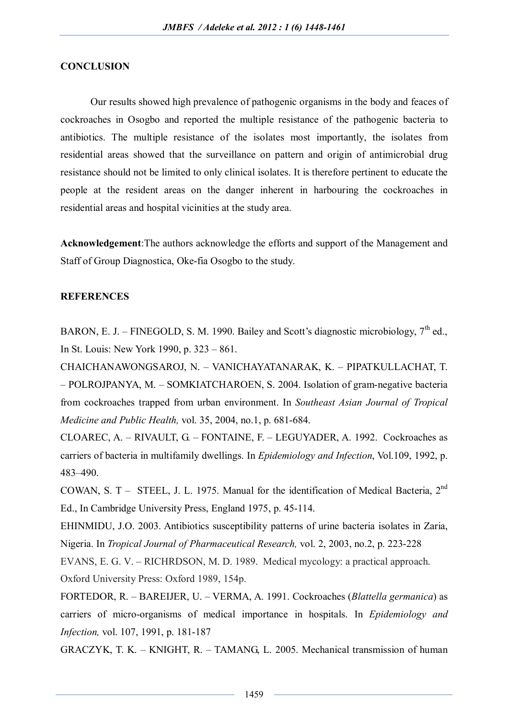# **CONCLUSION**

Our results showed high prevalence of pathogenic organisms in the body and feaces of cockroaches in Osogbo and reported the multiple resistance of the pathogenic bacteria to antibiotics. The multiple resistance of the isolates most importantly, the isolates from residential areas showed that the surveillance on pattern and origin of antimicrobial drug resistance should not be limited to only clinical isolates. It is therefore pertinent to educate the people at the resident areas on the danger inherent in harbouring the cockroaches in residential areas and hospital vicinities at the study area.

**Acknowledgement**:The authors acknowledge the efforts and support of the Management and Staff of Group Diagnostica, Oke-fia Osogbo to the study.

# **REFERENCES**

BARON, E. J. – FINEGOLD, S. M. 1990. Bailey and Scott's diagnostic microbiology,  $7<sup>th</sup>$  ed., In St. Louis: New York 1990, p. 323 – 861.

CHAICHANAWONGSAROJ, N. – VANICHAYATANARAK, K. – PIPATKULLACHAT, T. – POLROJPANYA, M. – SOMKIATCHAROEN, S. 2004. Isolation of gram-negative bacteria from cockroaches trapped from urban environment. In *Southeast Asian Journal of Tropical Medicine and Public Health,* vol. 35, 2004, no.1, p. 681-684.

CLOAREC, A. – RIVAULT, G. – FONTAINE, F. – LEGUYADER, A. 1992. Cockroaches as carriers of bacteria in multifamily dwellings. In *Epidemiology and Infection*, Vol.109, 1992, p. 483–490.

COWAN, S. T – STEEL, J. L. 1975. Manual for the identification of Medical Bacteria,  $2<sup>nd</sup>$ Ed., In Cambridge University Press, England 1975, p. 45-114.

EHINMIDU, J.O. 2003. Antibiotics susceptibility patterns of urine bacteria isolates in Zaria, Nigeria. In *Tropical Journal of Pharmaceutical Research,* vol. 2, 2003, no.2, p. 223-228

EVANS, E. G. V. – RICHRDSON, M. D. 1989. Medical mycology: a practical approach. Oxford University Press: Oxford 1989, 154p.

FORTEDOR, R. – BAREIJER, U. – VERMA, A. 1991. Cockroaches (*Blattella germanica*) as carriers of micro-organisms of medical importance in hospitals. In *Epidemiology and Infection,* vol. 107, 1991, p. 181-187

GRACZYK, T. K. – KNIGHT, R. – TAMANG, L. 2005. Mechanical transmission of human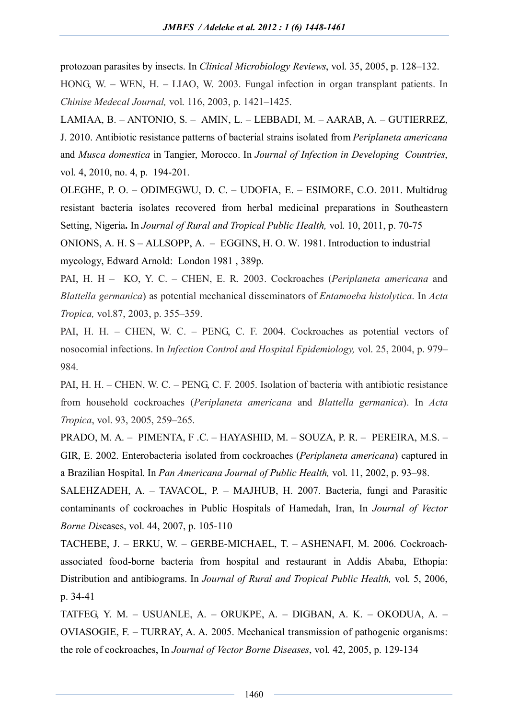protozoan parasites by insects. In *Clinical Microbiology Reviews*, vol. 35, 2005, p. 128–132. HONG, W. – WEN, H. – LIAO, W. 2003. Fungal infection in organ transplant patients. In *Chinise Medecal Journal,* vol. 116, 2003, p. 1421–1425.

LAMIAA, B. – ANTONIO, S. – AMIN, L. – LEBBADI, M. – AARAB, A. – GUTIERREZ, J. 2010. Antibiotic resistance patterns of bacterial strains isolated from *Periplaneta americana*  and *Musca domestica* in Tangier, Morocco. In *Journal of Infection in Developing Countries*, vol. 4, 2010, no. 4, p. 194-201.

OLEGHE, P. O. – ODIMEGWU, D. C. – UDOFIA, E. – ESIMORE, C.O. 2011. Multidrug resistant bacteria isolates recovered from herbal medicinal preparations in Southeastern Setting, Nigeria**.** In *Journal of Rural and Tropical Public Health,* vol. 10, 2011, p. 70-75

ONIONS, A. H. S – ALLSOPP, A. – EGGINS, H. O. W. 1981. Introduction to industrial mycology, Edward Arnold: London 1981 , 389p.

PAI, H. H – KO, Y. C. – CHEN, E. R. 2003. Cockroaches (*Periplaneta americana* and *Blattella germanica*) as potential mechanical disseminators of *Entamoeba histolytica*. In *Acta Tropica,* vol.87, 2003, p. 355–359.

PAI, H. H. – CHEN, W. C. – PENG, C. F. 2004. Cockroaches as potential vectors of nosocomial infections. In *Infection Control and Hospital Epidemiology,* vol. 25, 2004, p. 979– 984.

PAI, H. H. – CHEN, W. C. – PENG, C. F. 2005. Isolation of bacteria with antibiotic resistance from household cockroaches (*Periplaneta americana* and *Blattella germanica*). In *Acta Tropica*, vol. 93, 2005, 259–265.

PRADO, M. A. – PIMENTA, F .C. – HAYASHID, M. – SOUZA, P. R. – PEREIRA, M.S. – GIR, E. 2002. Enterobacteria isolated from cockroaches (*Periplaneta americana*) captured in a Brazilian Hospital. In *Pan Americana Journal of Public Health,* vol. 11, 2002, p. 93–98.

SALEHZADEH, A. – TAVACOL, P. – MAJHUB, H. 2007. Bacteria, fungi and Parasitic contaminants of cockroaches in Public Hospitals of Hamedah, Iran, In *Journal of Vector Borne Dis*eases, vol. 44, 2007, p. 105-110

TACHEBE, J. – ERKU, W. – GERBE-MICHAEL, T. – ASHENAFI, M. 2006. Cockroachassociated food-borne bacteria from hospital and restaurant in Addis Ababa, Ethopia: Distribution and antibiograms. In *Journal of Rural and Tropical Public Health,* vol. 5, 2006, p. 34-41

TATFEG, Y. M. – USUANLE, A. – ORUKPE, A. – DIGBAN, A. K. – OKODUA, A. – OVIASOGIE, F. – TURRAY, A. A. 2005. Mechanical transmission of pathogenic organisms: the role of cockroaches, In *Journal of Vector Borne Diseases*, vol. 42, 2005, p. 129-134